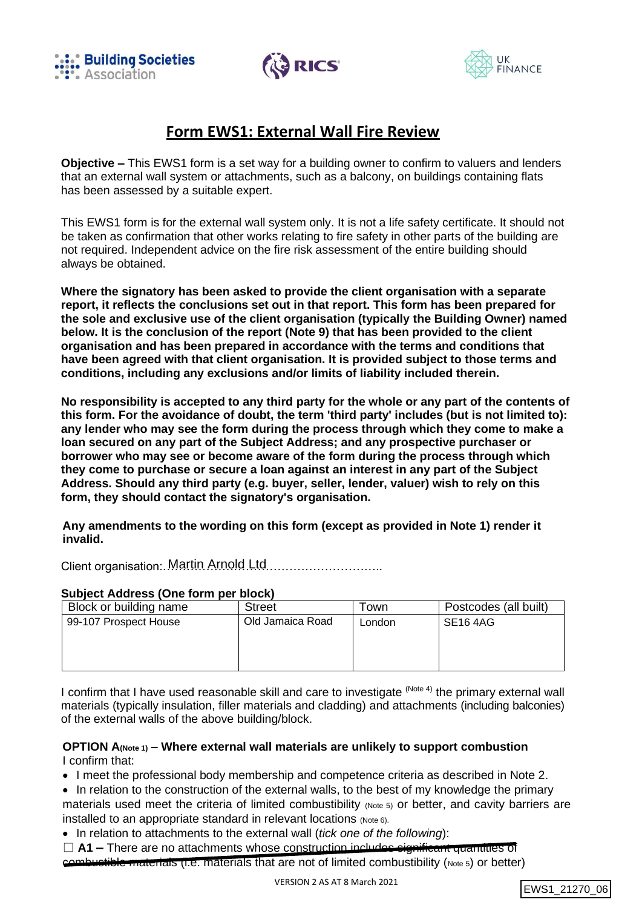





# **Form EWS1: External Wall Fire Review**

**Objective –** This EWS1 form is a set way for a building owner to confirm to valuers and lenders that an external wall system or attachments, such as a balcony, on buildings containing flats has been assessed by a suitable expert.

This EWS1 form is for the external wall system only. It is not a life safety certificate. It should not be taken as confirmation that other works relating to fire safety in other parts of the building are not required. Independent advice on the fire risk assessment of the entire building should always be obtained.

**Where the signatory has been asked to provide the client organisation with a separate report, it reflects the conclusions set out in that report. This form has been prepared for the sole and exclusive use of the client organisation (typically the Building Owner) named below. It is the conclusion of the report (Note 9) that has been provided to the client organisation and has been prepared in accordance with the terms and conditions that have been agreed with that client organisation. It is provided subject to those terms and conditions, including any exclusions and/or limits of liability included therein.**

**No responsibility is accepted to any third party for the whole or any part of the contents of this form. For the avoidance of doubt, the term 'third party' includes (but is not limited to): any lender who may see the form during the process through which they come to make a loan secured on any part of the Subject Address; and any prospective purchaser or borrower who may see or become aware of the form during the process through which they come to purchase or secure a loan against an interest in any part of the Subject Address. Should any third party (e.g. buyer, seller, lender, valuer) wish to rely on this form, they should contact the signatory's organisation.**

**Any amendments to the wording on this form (except as provided in Note 1) render it invalid.**

Client organisation: Martin Arnold Ltd............................

#### **Subject Address (One form per block)**

| <b>Street</b>    | Town   | Postcodes (all built) |
|------------------|--------|-----------------------|
| Old Jamaica Road | London | SE16 4AG              |
|                  |        |                       |
|                  |        |                       |
|                  |        |                       |
|                  |        |                       |

I confirm that I have used reasonable skill and care to investigate <sup>(Note 4)</sup> the primary external wall materials (typically insulation, filler materials and cladding) and attachments (including balconies) of the external walls of the above building/block.

### **OPTION A(Note 1) – Where external wall materials are unlikely to support combustion** I confirm that:

• I meet the professional body membership and competence criteria as described in Note 2.

- In relation to the construction of the external walls, to the best of my knowledge the primary materials used meet the criteria of limited combustibility (Note 5) or better, and cavity barriers are installed to an appropriate standard in relevant locations (Note 6).
- In relation to attachments to the external wall (*tick one of the following*):
- □ **A1** There are no attachments whose construction includes significant quantities of combustible materials (i.e. materials that are not of limited combustibility (Note 5) or better)

```
EWS1_21270_06
```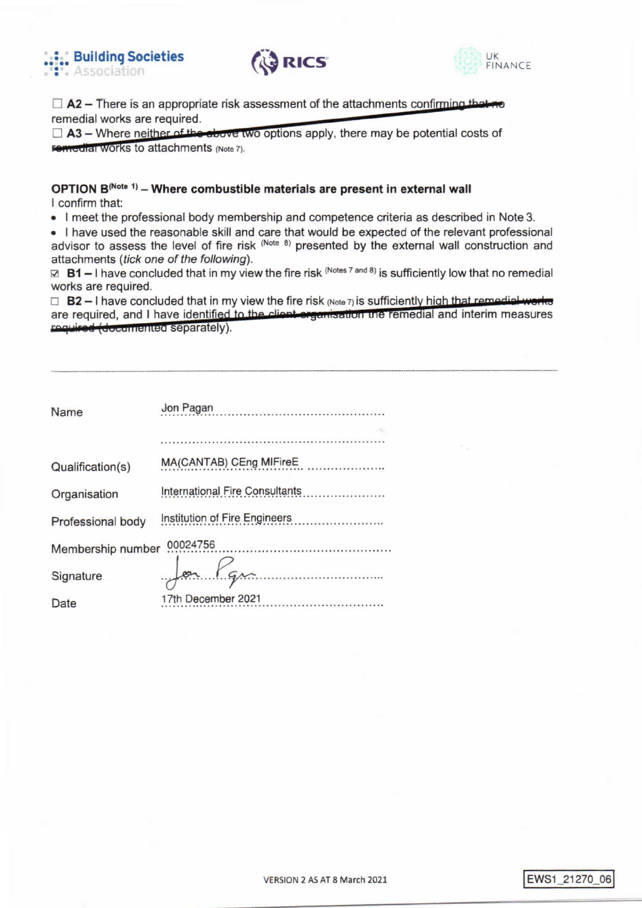





 $\Box$  A2 – There is an appropriate risk assessment of the attachments confirming that no remedial works are required.

 $\Box$  A3 – Where neither of the above two options apply, there may be potential costs of **Femedial Works to attachments (Note 7).** 

### OPTION B(Note 1) - Where combustible materials are present in external wall I confirm that:

• I meet the professional body membership and competence criteria as described in Note 3.

. I have used the reasonable skill and care that would be expected of the relevant professional advisor to assess the level of fire risk (Note 8) presented by the external wall construction and attachments (tick one of the following).

⊠ B1-I have concluded that in my view the fire risk (Notes 7 and 8) is sufficiently low that no remedial works are required.

 $\Box$  B2 - I have concluded that in my view the fire risk (Note 7) is sufficiently high that remodial works are required, and I have identified to the client organisation the remedial and interim measures required (documented separately).

| Name              | Jon Pagan                                                                                                                                                   |
|-------------------|-------------------------------------------------------------------------------------------------------------------------------------------------------------|
|                   |                                                                                                                                                             |
|                   |                                                                                                                                                             |
| Qualification(s)  | MA(CANTAB) CEng MIFireE.                                                                                                                                    |
| Organisation      | International Fire Consultants                                                                                                                              |
| Professional body | Institution of Fire Engineers<br><u>.</u><br>1980 - Paris Paris de Maria de la Paris de la propia de la paris de la paris de la paris de la paris de la par |
| Membership number | 00024756                                                                                                                                                    |
| Signature         | $\int$                                                                                                                                                      |
| Date              | 17th December 2021                                                                                                                                          |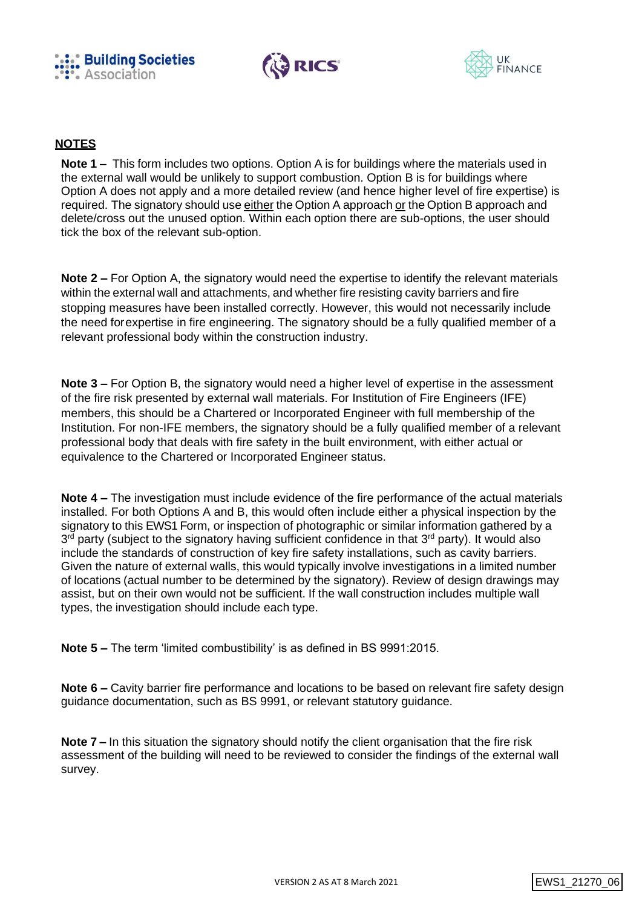





## **NOTES**

**Note 1 –** This form includes two options. Option A is for buildings where the materials used in the external wall would be unlikely to support combustion. Option B is for buildings where Option A does not apply and a more detailed review (and hence higher level of fire expertise) is required. The signatory should use either the Option A approach or the Option B approach and delete/cross out the unused option. Within each option there are sub-options, the user should tick the box of the relevant sub-option.

**Note 2 –** For Option A, the signatory would need the expertise to identify the relevant materials within the external wall and attachments, and whether fire resisting cavity barriers and fire stopping measures have been installed correctly. However, this would not necessarily include the need forexpertise in fire engineering. The signatory should be a fully qualified member of a relevant professional body within the construction industry.

**Note 3 –** For Option B, the signatory would need a higher level of expertise in the assessment of the fire risk presented by external wall materials. For Institution of Fire Engineers (IFE) members, this should be a Chartered or Incorporated Engineer with full membership of the Institution. For non-IFE members, the signatory should be a fully qualified member of a relevant professional body that deals with fire safety in the built environment, with either actual or equivalence to the Chartered or Incorporated Engineer status.

**Note 4 –** The investigation must include evidence of the fire performance of the actual materials installed. For both Options A and B, this would often include either a physical inspection by the signatory to this EWS1 Form, or inspection of photographic or similar information gathered by a 3<sup>rd</sup> party (subject to the signatory having sufficient confidence in that 3<sup>rd</sup> party). It would also include the standards of construction of key fire safety installations, such as cavity barriers. Given the nature of external walls, this would typically involve investigations in a limited number of locations (actual number to be determined by the signatory). Review of design drawings may assist, but on their own would not be sufficient. If the wall construction includes multiple wall types, the investigation should include each type.

**Note 5 –** The term 'limited combustibility' is as defined in BS 9991:2015.

**Note 6 –** Cavity barrier fire performance and locations to be based on relevant fire safety design guidance documentation, such as BS 9991, or relevant statutory guidance.

**Note 7 –** In this situation the signatory should notify the client organisation that the fire risk assessment of the building will need to be reviewed to consider the findings of the external wall survey.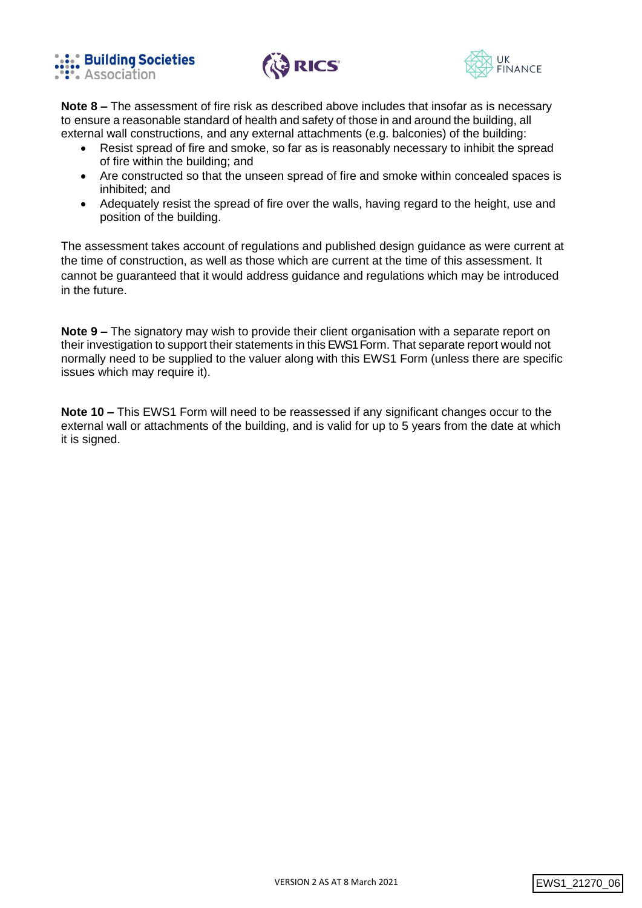





**Note 8 –** The assessment of fire risk as described above includes that insofar as is necessary to ensure a reasonable standard of health and safety of those in and around the building, all external wall constructions, and any external attachments (e.g. balconies) of the building:

- Resist spread of fire and smoke, so far as is reasonably necessary to inhibit the spread of fire within the building; and
- Are constructed so that the unseen spread of fire and smoke within concealed spaces is inhibited; and
- Adequately resist the spread of fire over the walls, having regard to the height, use and position of the building.

The assessment takes account of regulations and published design guidance as were current at the time of construction, as well as those which are current at the time of this assessment. It cannot be guaranteed that it would address guidance and regulations which may be introduced in the future.

**Note 9 –** The signatory may wish to provide their client organisation with a separate report on their investigation to support their statements in this EWS1 Form. That separate report would not normally need to be supplied to the valuer along with this EWS1 Form (unless there are specific issues which may require it).

**Note 10 –** This EWS1 Form will need to be reassessed if any significant changes occur to the external wall or attachments of the building, and is valid for up to 5 years from the date at which it is signed.